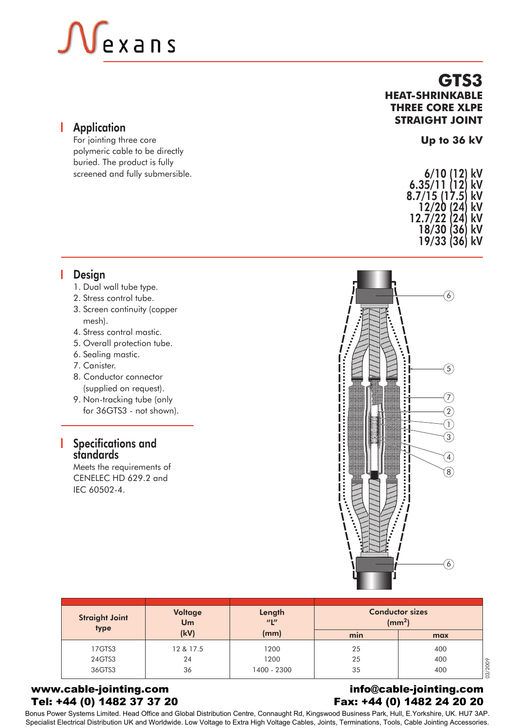# $\mathsf{\mathsf{V}}$ exans

#### **Application**

For jointing three core polymeric cable to be directly buried. The product is fully screened and fully submersible.

#### **GTS3 HEAT-SHRINKABLE THREE CORE XLPE STRAIGHT JOINT**

#### **Up to 36 kV**

| 6/10 (12)     | kV |
|---------------|----|
| 6.35/11(12)   | kV |
| 8.7/15 (17.5) | kV |
| 12/20 (24)    | kV |
| 12.7/22 (24)  | kV |
| 18/30 (36)    | kV |
| 19/33 (36)    | kV |

### **I** Design

- 1. Dual wall tube type.
- 2. Stress control tube.
- 3. Screen continuity (copper mesh).
- 4. Stress control mastic.
- 5. Overall protection tube.
- 6. Sealing mastic.
- 7. Canister.
- 8. Conductor connector (supplied on request).
- 9. Non-tracking tube (only for 36GTS3 - not shown).

#### Specifications and standards

Meets the requirements of CENELEC HD 629.2 and IEC 60502-4.



| <b>Straight Joint</b><br>type | <b>Voltage</b><br>Um | Length<br>$^{\prime\prime}$ | <b>Conductor sizes</b><br>(mm <sup>2</sup> ) |                |
|-------------------------------|----------------------|-----------------------------|----------------------------------------------|----------------|
|                               | (kV)                 | (mm)                        | min                                          | max            |
| 17GTS3                        | 12 & 17.5            | 1200                        | 25                                           | 400            |
| 24GTS3                        | 24                   | 1200                        | 25                                           | 400            |
| 36GTS3                        | 36                   | 1400 - 2300                 | 35                                           | 03/2009<br>400 |

#### www.cable-jointing.com Tel: +44 (0) 1482 37 37 20

#### info@cable-jointing.com Fax: +44 (0) 1482 24 20 20

Bonus Power Systems Limited. Head Office and Global Distribution Centre, Connaught Rd, Kingswood Business Park, Hull, E.Yorkshire, UK. HU7 3AP. Specialist Electrical Distribution UK and Worldwide. Low Voltage to Extra High Voltage Cables, Joints, Terminations, Tools, Cable Jointing Accessories.